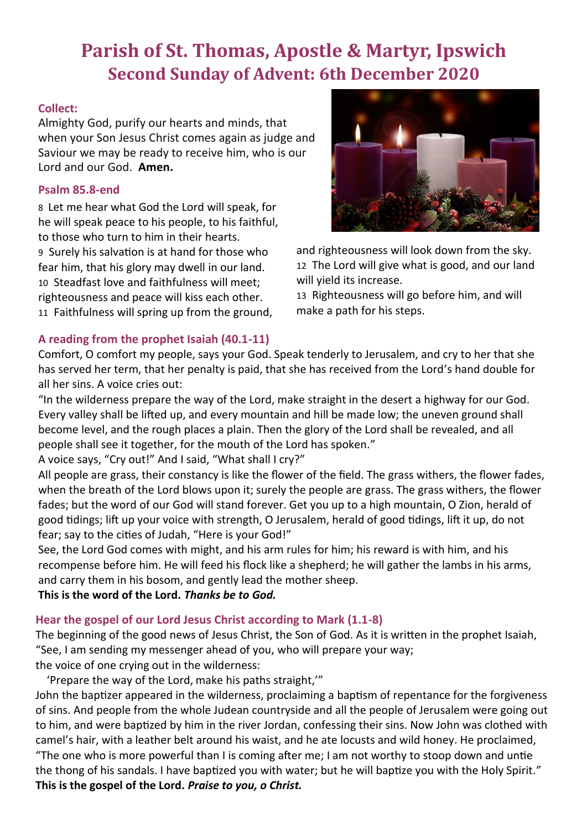# **Parish of St. Thomas, Apostle & Martyr, Ipswich Second Sunday of Advent: 6th December 2020**

### **Collect:**

Almighty God, purify our hearts and minds, that when your Son Jesus Christ comes again as judge and Saviour we may be ready to receive him, who is our Lord and our God. **Amen.**

#### **Psalm 85.8-end**

8 Let me hear what God the Lord will speak, for he will speak peace to his people, to his faithful, to those who turn to him in their hearts.

9 Surely his salvation is at hand for those who fear him, that his glory may dwell in our land. 10 Steadfast love and faithfulness will meet; righteousness and peace will kiss each other. 11 Faithfulness will spring up from the ground,



and righteousness will look down from the sky. 12 The Lord will give what is good, and our land will yield its increase.

13 Righteousness will go before him, and will make a path for his steps.

# **A reading from the prophet Isaiah (40.1-11)**

Comfort, O comfort my people, says your God. Speak tenderly to Jerusalem, and cry to her that she has served her term, that her penalty is paid, that she has received from the Lord's hand double for all her sins. A voice cries out:

"In the wilderness prepare the way of the Lord, make straight in the desert a highway for our God. Every valley shall be lifted up, and every mountain and hill be made low; the uneven ground shall become level, and the rough places a plain. Then the glory of the Lord shall be revealed, and all people shall see it together, for the mouth of the Lord has spoken."

A voice says, "Cry out!" And I said, "What shall I cry?"

All people are grass, their constancy is like the flower of the field. The grass withers, the flower fades, when the breath of the Lord blows upon it; surely the people are grass. The grass withers, the flower fades; but the word of our God will stand forever. Get you up to a high mountain, O Zion, herald of good tidings; lift up your voice with strength, O Jerusalem, herald of good tidings, lift it up, do not fear; say to the cities of Judah, "Here is your God!"

See, the Lord God comes with might, and his arm rules for him; his reward is with him, and his recompense before him. He will feed his flock like a shepherd; he will gather the lambs in his arms, and carry them in his bosom, and gently lead the mother sheep.

**This is the word of the Lord.** *Thanks be to God.*

# **Hear the gospel of our Lord Jesus Christ according to Mark (1.1-8)**

The beginning of the good news of Jesus Christ, the Son of God. As it is written in the prophet Isaiah, "See, I am sending my messenger ahead of you, who will prepare your way; the voice of one crying out in the wilderness:

'Prepare the way of the Lord, make his paths straight,'"

John the baptizer appeared in the wilderness, proclaiming a baptism of repentance for the forgiveness of sins. And people from the whole Judean countryside and all the people of Jerusalem were going out to him, and were baptized by him in the river Jordan, confessing their sins. Now John was clothed with camel's hair, with a leather belt around his waist, and he ate locusts and wild honey. He proclaimed, "The one who is more powerful than I is coming after me; I am not worthy to stoop down and untie the thong of his sandals. I have baptized you with water; but he will baptize you with the Holy Spirit." **This is the gospel of the Lord.** *Praise to you, o Christ.*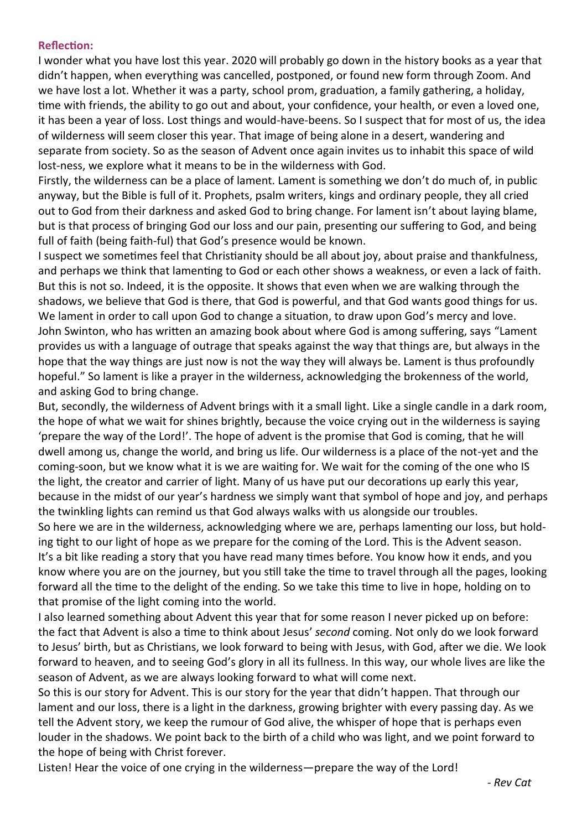#### **Reflection:**

I wonder what you have lost this year. 2020 will probably go down in the history books as a year that didn't happen, when everything was cancelled, postponed, or found new form through Zoom. And we have lost a lot. Whether it was a party, school prom, graduation, a family gathering, a holiday, time with friends, the ability to go out and about, your confidence, your health, or even a loved one, it has been a year of loss. Lost things and would-have-beens. So I suspect that for most of us, the idea of wilderness will seem closer this year. That image of being alone in a desert, wandering and separate from society. So as the season of Advent once again invites us to inhabit this space of wild lost-ness, we explore what it means to be in the wilderness with God.

Firstly, the wilderness can be a place of lament. Lament is something we don't do much of, in public anyway, but the Bible is full of it. Prophets, psalm writers, kings and ordinary people, they all cried out to God from their darkness and asked God to bring change. For lament isn't about laying blame, but is that process of bringing God our loss and our pain, presenting our suffering to God, and being full of faith (being faith-ful) that God's presence would be known.

I suspect we sometimes feel that Christianity should be all about joy, about praise and thankfulness, and perhaps we think that lamenting to God or each other shows a weakness, or even a lack of faith. But this is not so. Indeed, it is the opposite. It shows that even when we are walking through the shadows, we believe that God is there, that God is powerful, and that God wants good things for us. We lament in order to call upon God to change a situation, to draw upon God's mercy and love. John Swinton, who has written an amazing book about where God is among suffering, says "Lament provides us with a language of outrage that speaks against the way that things are, but always in the hope that the way things are just now is not the way they will always be. Lament is thus profoundly hopeful." So lament is like a prayer in the wilderness, acknowledging the brokenness of the world, and asking God to bring change.

But, secondly, the wilderness of Advent brings with it a small light. Like a single candle in a dark room, the hope of what we wait for shines brightly, because the voice crying out in the wilderness is saying 'prepare the way of the Lord!'. The hope of advent is the promise that God is coming, that he will dwell among us, change the world, and bring us life. Our wilderness is a place of the not-yet and the coming-soon, but we know what it is we are waiting for. We wait for the coming of the one who IS the light, the creator and carrier of light. Many of us have put our decorations up early this year, because in the midst of our year's hardness we simply want that symbol of hope and joy, and perhaps the twinkling lights can remind us that God always walks with us alongside our troubles.

So here we are in the wilderness, acknowledging where we are, perhaps lamenting our loss, but holding tight to our light of hope as we prepare for the coming of the Lord. This is the Advent season. It's a bit like reading a story that you have read many times before. You know how it ends, and you know where you are on the journey, but you still take the time to travel through all the pages, looking forward all the time to the delight of the ending. So we take this time to live in hope, holding on to that promise of the light coming into the world.

I also learned something about Advent this year that for some reason I never picked up on before: the fact that Advent is also a time to think about Jesus' *second* coming. Not only do we look forward to Jesus' birth, but as Christians, we look forward to being with Jesus, with God, after we die. We look forward to heaven, and to seeing God's glory in all its fullness. In this way, our whole lives are like the season of Advent, as we are always looking forward to what will come next.

So this is our story for Advent. This is our story for the year that didn't happen. That through our lament and our loss, there is a light in the darkness, growing brighter with every passing day. As we tell the Advent story, we keep the rumour of God alive, the whisper of hope that is perhaps even louder in the shadows. We point back to the birth of a child who was light, and we point forward to the hope of being with Christ forever.

Listen! Hear the voice of one crying in the wilderness—prepare the way of the Lord!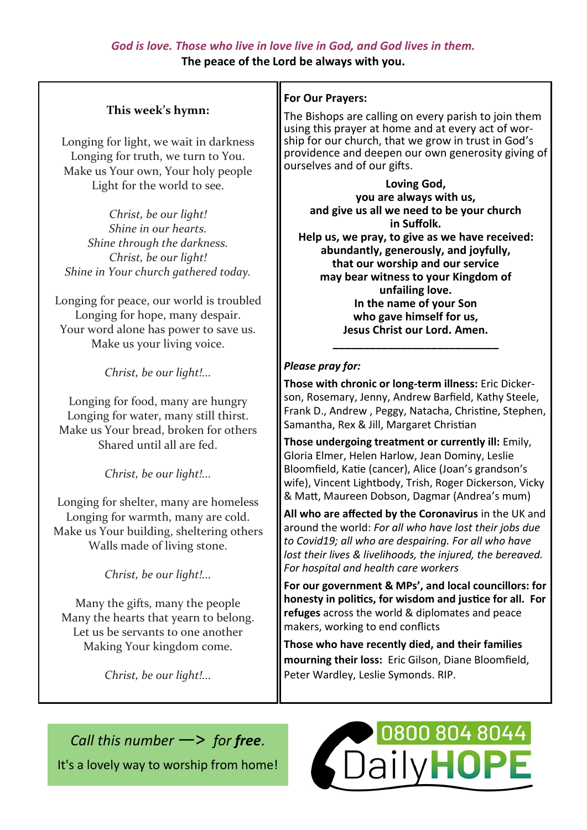# **This week's hymn:**

Longing for light, we wait in darkness Longing for truth, we turn to You. Make us Your own, Your holy people Light for the world to see.

*Christ, be our light! Shine in our hearts. Shine through the darkness. Christ, be our light! Shine in Your church gathered today.*

Longing for peace, our world is troubled Longing for hope, many despair. Your word alone has power to save us. Make us your living voice.

*Christ, be our light!...*

Longing for food, many are hungry Longing for water, many still thirst. Make us Your bread, broken for others Shared until all are fed.

*Christ, be our light!...*

Longing for shelter, many are homeless Longing for warmth, many are cold. Make us Your building, sheltering others Walls made of living stone.

*Christ, be our light!...*

Many the gifts, many the people Many the hearts that yearn to belong. Let us be servants to one another Making Your kingdom come.

*Christ, be our light!...*

# **For Our Prayers:**

The Bishops are calling on every parish to join them using this prayer at home and at every act of worship for our church, that we grow in trust in God's providence and deepen our own generosity giving of .<br>ourselves and of our gifts.

**Loving God, you are always with us, and give us all we need to be your church in Suffolk. Help us, we pray, to give as we have received: abundantly, generously, and joyfully, that our worship and our service may bear witness to your Kingdom of unfailing love. In the name of your Son who gave himself for us, Jesus Christ our Lord. Amen.**

#### *Please pray for:*

**Those with chronic or long-term illness:** Eric Dickerson, Rosemary, Jenny, Andrew Barfield, Kathy Steele, Frank D., Andrew , Peggy, Natacha, Christine, Stephen, Samantha, Rex & Jill, Margaret Christian

**\_\_\_\_\_\_\_\_\_\_\_\_\_\_\_\_\_\_\_\_\_\_\_\_\_\_\_**

**Those undergoing treatment or currently ill:** Emily, Gloria Elmer, Helen Harlow, Jean Dominy, Leslie Bloomfield, Katie (cancer), Alice (Joan's grandson's wife), Vincent Lightbody, Trish, Roger Dickerson, Vicky & Matt, Maureen Dobson, Dagmar (Andrea's mum)

**All who are affected by the Coronavirus** in the UK and around the world: *For all who have lost their jobs due to Covid19; all who are despairing. For all who have lost their lives & livelihoods, the injured, the bereaved. For hospital and health care workers*

**For our government & MPs', and local councillors: for honesty in politics, for wisdom and justice for all. For refuges** across the world & diplomates and peace makers, working to end conflicts

**Those who have recently died, and their families mourning their loss:** Eric Gilson, Diane Bloomfield, Peter Wardley, Leslie Symonds. RIP.

*Call this number* —> *for free*. It's a lovely way to worship from home!